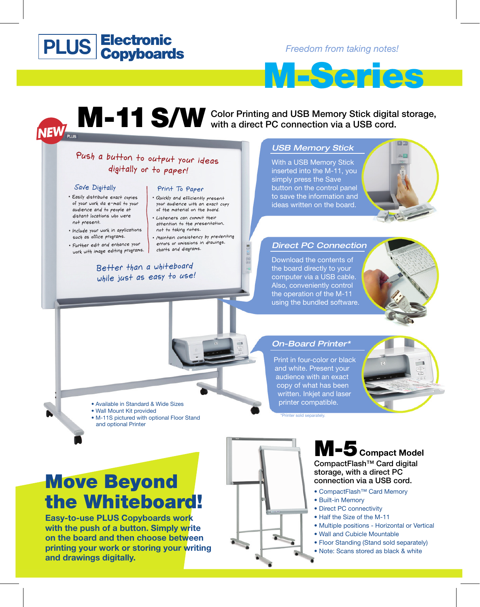# **Electronic Copyboards**

*Freedom from taking notes!* 



# M-11 S/W Color Printing and USB Memory Stick digital storage, with a direct PC connection via a USB cord. with a direct PC connection via a USB cord. **NEW**<sub>PLUS</sub>

# Push a button to output your ideas digitally or to paper!

### Save Digitally

- · Easily distribute exact copies of your work via e-mail to your audience and to people at distant locations who were not present.
- · Include your work in applications such as office programs.
- · Further edit and enhance your work with image editing programs.

### Print To Paper

- · Quickly and efficiently present your audience with an exact copy of the material on the board.
- · Listeners can commit their attention to the presentation. not to taking notes.
- · Maintain consistency by preventing errors or omissions in drawings. charts and diagrams.

## Better than a whiteboard while just as easy to use!

### USB Memory Stick

With a USB Memory Stick inserted into the M-11, you simply press the Save button on the control panel to save the information and ideas written on the board.



## Direct PC Connection

Download the contents of the board directly to your computer via a USB cable. Also, conveniently control the operation of the M-11 using the bundled software.



Print in four-color or black and white. Present your audience with an exact copy of what has been written. Inkjet and laser printer compatible.



\*Printer sold separately.

# Move Beyond the Whiteboard!

• Available in Standard & Wide Sizes

• M-11S pictured with optional Floor Stand

• Wall Mount Kit provided

and optional Printer

**Easy-to-use PLUS Copyboards work with the push of a button. Simply write on the board and then choose between printing your work or storing your writing and drawings digitally.**



# M-5 **Compact Model**

CompactFlash™ Card digital storage, with a direct PC connection via a USB cord.

- CompactFlash™ Card Memory
- Built-in Memory
- Direct PC connectivity
- Half the Size of the M-11
- Multiple positions Horizontal or Vertical
- Wall and Cubicle Mountable
- Floor Standing (Stand sold separately)
- Note: Scans stored as black & white